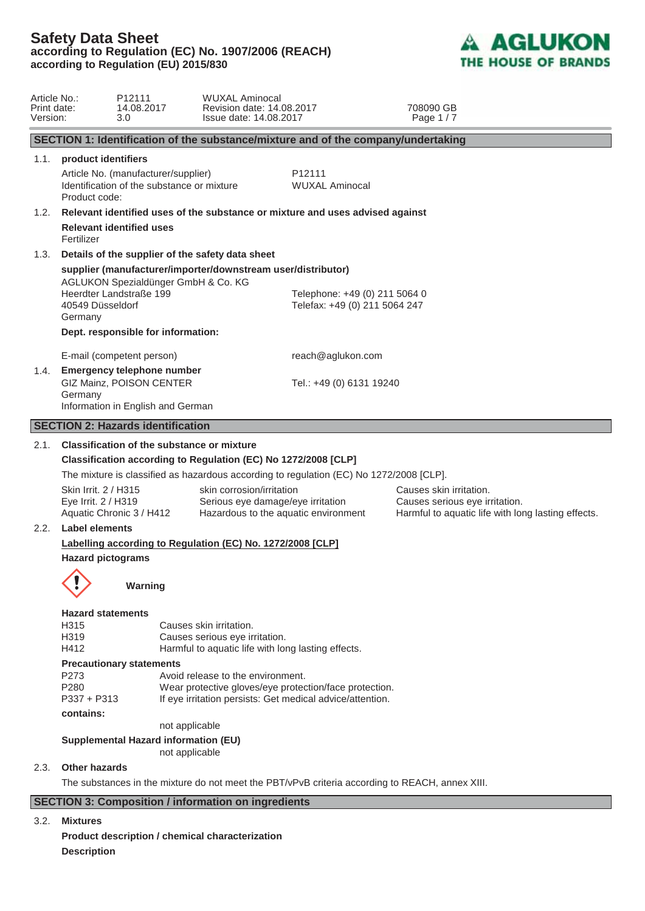

| Article No.:<br>Print date:<br>Version: |                                                                                                                                 | P <sub>12111</sub><br>14.08.2017<br>3.0                                                                                                                  | <b>WUXAL Aminocal</b><br>Revision date: 14.08.2017<br>Issue date: 14.08.2017                                                                                                                                                                                                |                                                                | 708090 GB<br>Page 1/7                                                                                           |  |  |
|-----------------------------------------|---------------------------------------------------------------------------------------------------------------------------------|----------------------------------------------------------------------------------------------------------------------------------------------------------|-----------------------------------------------------------------------------------------------------------------------------------------------------------------------------------------------------------------------------------------------------------------------------|----------------------------------------------------------------|-----------------------------------------------------------------------------------------------------------------|--|--|
|                                         | SECTION 1: Identification of the substance/mixture and of the company/undertaking                                               |                                                                                                                                                          |                                                                                                                                                                                                                                                                             |                                                                |                                                                                                                 |  |  |
| 1.1.                                    | product identifiers<br>Product code:                                                                                            | Article No. (manufacturer/supplier)<br>Identification of the substance or mixture                                                                        |                                                                                                                                                                                                                                                                             | P <sub>12111</sub><br><b>WUXAL Aminocal</b>                    |                                                                                                                 |  |  |
| 1.2.                                    | Relevant identified uses of the substance or mixture and uses advised against<br><b>Relevant identified uses</b><br>Fertilizer  |                                                                                                                                                          |                                                                                                                                                                                                                                                                             |                                                                |                                                                                                                 |  |  |
| 1.3.                                    | 40549 Düsseldorf<br>Germany                                                                                                     | Details of the supplier of the safety data sheet<br>AGLUKON Spezialdünger GmbH & Co. KG<br>Heerdter Landstraße 199<br>Dept. responsible for information: | supplier (manufacturer/importer/downstream user/distributor)                                                                                                                                                                                                                | Telephone: +49 (0) 211 5064 0<br>Telefax: +49 (0) 211 5064 247 |                                                                                                                 |  |  |
| 1.4.                                    | Germany                                                                                                                         | E-mail (competent person)<br>Emergency telephone number<br>GIZ Mainz, POISON CENTER<br>Information in English and German                                 |                                                                                                                                                                                                                                                                             | reach@aglukon.com<br>Tel.: +49 (0) 6131 19240                  |                                                                                                                 |  |  |
|                                         | <b>SECTION 2: Hazards identification</b>                                                                                        |                                                                                                                                                          |                                                                                                                                                                                                                                                                             |                                                                |                                                                                                                 |  |  |
| 2.1.                                    | Skin Irrit. 2 / H315<br>Eye Irrit. 2 / H319                                                                                     | <b>Classification of the substance or mixture</b><br>Aquatic Chronic 3 / H412                                                                            | Classification according to Regulation (EC) No 1272/2008 [CLP]<br>The mixture is classified as hazardous according to regulation (EC) No 1272/2008 [CLP].<br>skin corrosion/irritation<br>Serious eye damage/eye irritation<br>Hazardous to the aquatic environment         |                                                                | Causes skin irritation.<br>Causes serious eye irritation.<br>Harmful to aquatic life with long lasting effects. |  |  |
| 2.2.                                    | <b>Label elements</b><br>Labelling according to Regulation (EC) No. 1272/2008 [CLP]<br><b>Hazard pictograms</b><br>Î<br>Warning |                                                                                                                                                          |                                                                                                                                                                                                                                                                             |                                                                |                                                                                                                 |  |  |
|                                         | <b>Hazard statements</b><br>H315<br>H319<br>H412<br>P273<br>P280<br>$P337 + P313$<br>contains:                                  | <b>Precautionary statements</b><br>not applicable<br><b>Supplemental Hazard information (EU)</b><br>not applicable                                       | Causes skin irritation.<br>Causes serious eye irritation.<br>Harmful to aquatic life with long lasting effects.<br>Avoid release to the environment.<br>Wear protective gloves/eye protection/face protection.<br>If eye irritation persists: Get medical advice/attention. |                                                                |                                                                                                                 |  |  |
| 2.3.                                    | Other hazards                                                                                                                   |                                                                                                                                                          |                                                                                                                                                                                                                                                                             |                                                                | The substances in the mixture do not meet the PBT/vPvB criteria according to REACH, annex XIII.                 |  |  |
|                                         |                                                                                                                                 |                                                                                                                                                          | <b>SECTION 3: Composition / information on ingredients</b>                                                                                                                                                                                                                  |                                                                |                                                                                                                 |  |  |

### 3.2. **Mixtures**

**Product description / chemical characterization Description**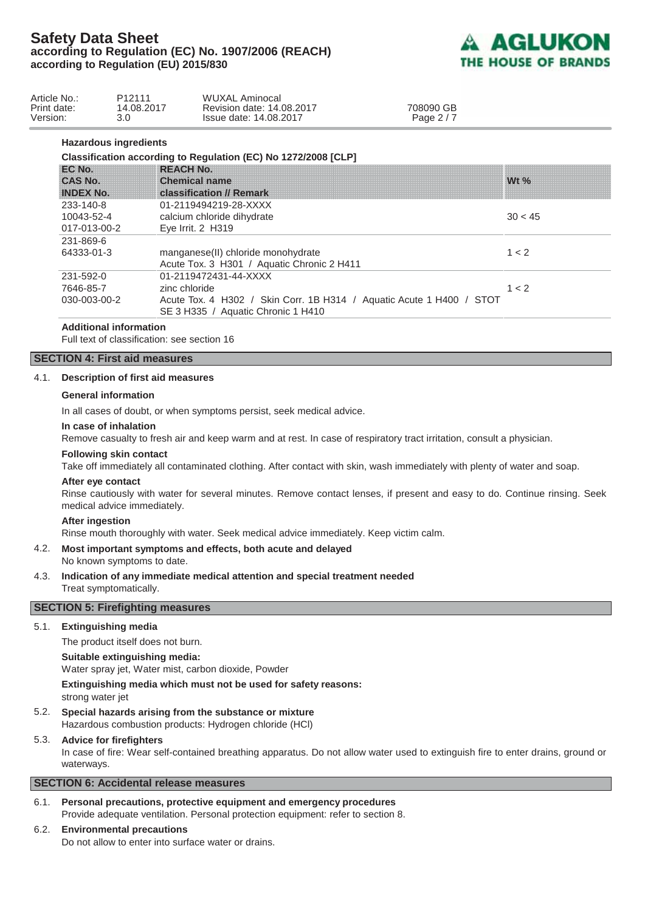

| Article No.:<br>Print date:<br>Version: |                                         | P <sub>12111</sub><br>14.08.2017<br>3.0 | <b>WUXAL Aminocal</b><br>Revision date: 14.08.2017<br>Issue date: 14.08.2017                                                                         | 708090 GB<br>Page 2/7 |         |  |
|-----------------------------------------|-----------------------------------------|-----------------------------------------|------------------------------------------------------------------------------------------------------------------------------------------------------|-----------------------|---------|--|
| <b>Hazardous ingredients</b>            |                                         |                                         |                                                                                                                                                      |                       |         |  |
|                                         |                                         |                                         | Classification according to Regulation (EC) No 1272/2008 [CLP]                                                                                       |                       |         |  |
|                                         | EC No.<br>CAS No.<br><b>INDEX No.</b>   |                                         | <b>REACH No.</b><br><b>Chemical name</b><br><b>classification // Remark</b>                                                                          |                       | Wt $\%$ |  |
|                                         | 233-140-8<br>10043-52-4<br>017-013-00-2 |                                         | 01-2119494219-28-XXXX<br>calcium chloride dihydrate<br>Eye Irrit. 2 H319                                                                             |                       | 30 < 45 |  |
|                                         | 231-869-6<br>64333-01-3                 |                                         | manganese(II) chloride monohydrate<br>Acute Tox. 3 H301 / Aquatic Chronic 2 H411                                                                     |                       | 1 < 2   |  |
|                                         | 231-592-0<br>7646-85-7<br>030-003-00-2  |                                         | 01-2119472431-44-XXXX<br>zinc chloride<br>Acute Tox. 4 H302 / Skin Corr. 1B H314 / Aquatic Acute 1 H400 / STOT<br>SE 3 H335 / Aquatic Chronic 1 H410 |                       | 1 < 2   |  |

#### **Additional information**

Full text of classification: see section 16

#### **SECTION 4: First aid measures**

### 4.1. **Description of first aid measures**

### **General information**

In all cases of doubt, or when symptoms persist, seek medical advice.

#### **In case of inhalation**

Remove casualty to fresh air and keep warm and at rest. In case of respiratory tract irritation, consult a physician.

#### **Following skin contact**

Take off immediately all contaminated clothing. After contact with skin, wash immediately with plenty of water and soap.

#### **After eye contact**

Rinse cautiously with water for several minutes. Remove contact lenses, if present and easy to do. Continue rinsing. Seek medical advice immediately.

#### **After ingestion**

Rinse mouth thoroughly with water. Seek medical advice immediately. Keep victim calm.

#### 4.2. **Most important symptoms and effects, both acute and delayed** No known symptoms to date.

4.3. **Indication of any immediate medical attention and special treatment needed** Treat symptomatically.

### **SECTION 5: Firefighting measures**

#### 5.1. **Extinguishing media**

The product itself does not burn.

### **Suitable extinguishing media:**

Water spray jet, Water mist, carbon dioxide, Powder

**Extinguishing media which must not be used for safety reasons:** strong water jet

5.2. **Special hazards arising from the substance or mixture** Hazardous combustion products: Hydrogen chloride (HCl)

#### 5.3. **Advice for firefighters**

In case of fire: Wear self-contained breathing apparatus. Do not allow water used to extinguish fire to enter drains, ground or waterways.

#### **SECTION 6: Accidental release measures**

6.1. **Personal precautions, protective equipment and emergency procedures** Provide adequate ventilation. Personal protection equipment: refer to section 8.

#### 6.2. **Environmental precautions**

Do not allow to enter into surface water or drains.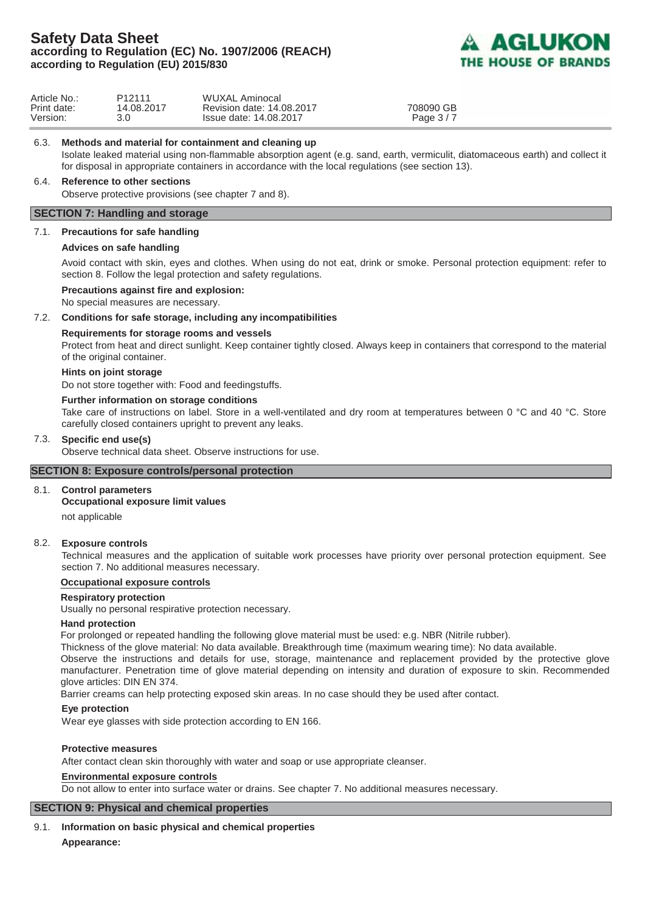

| Article No.:            | P <sub>12111</sub> | WUXAL Aminocal                                      |                         |
|-------------------------|--------------------|-----------------------------------------------------|-------------------------|
| Print date:<br>Version: | 14.08.2017         | Revision date: 14.08.2017<br>Issue date: 14.08.2017 | 708090 GB<br>Page $3/7$ |
|                         |                    |                                                     |                         |

6.3. **Methods and material for containment and cleaning up**

 Isolate leaked material using non-flammable absorption agent (e.g. sand, earth, vermiculit, diatomaceous earth) and collect it for disposal in appropriate containers in accordance with the local regulations (see section 13).

### 6.4. **Reference to other sections**

Observe protective provisions (see chapter 7 and 8).

### **SECTION 7: Handling and storage**

#### 7.1. **Precautions for safe handling**

#### **Advices on safe handling**

Avoid contact with skin, eyes and clothes. When using do not eat, drink or smoke. Personal protection equipment: refer to section 8. Follow the legal protection and safety regulations.

#### **Precautions against fire and explosion:**

No special measures are necessary.

#### 7.2. **Conditions for safe storage, including any incompatibilities**

#### **Requirements for storage rooms and vessels**

Protect from heat and direct sunlight. Keep container tightly closed. Always keep in containers that correspond to the material of the original container.

#### **Hints on joint storage**

Do not store together with: Food and feedingstuffs.

#### **Further information on storage conditions**

Take care of instructions on label. Store in a well-ventilated and dry room at temperatures between 0 °C and 40 °C. Store carefully closed containers upright to prevent any leaks.

#### 7.3. **Specific end use(s)**

Observe technical data sheet. Observe instructions for use.

### **SECTION 8: Exposure controls/personal protection**

#### 8.1. **Control parameters**

#### **Occupational exposure limit values**

not applicable

#### 8.2. **Exposure controls**

Technical measures and the application of suitable work processes have priority over personal protection equipment. See section 7. No additional measures necessary.

#### **Occupational exposure controls**

### **Respiratory protection**

Usually no personal respirative protection necessary.

#### **Hand protection**

For prolonged or repeated handling the following glove material must be used: e.g. NBR (Nitrile rubber).

Thickness of the glove material: No data available. Breakthrough time (maximum wearing time): No data available.

Observe the instructions and details for use, storage, maintenance and replacement provided by the protective glove manufacturer. Penetration time of glove material depending on intensity and duration of exposure to skin. Recommended glove articles: DIN EN 374.

Barrier creams can help protecting exposed skin areas. In no case should they be used after contact.

#### **Eye protection**

Wear eye glasses with side protection according to EN 166.

#### **Protective measures**

After contact clean skin thoroughly with water and soap or use appropriate cleanser.

#### **Environmental exposure controls**

Do not allow to enter into surface water or drains. See chapter 7. No additional measures necessary.

#### **SECTION 9: Physical and chemical properties**

9.1. **Information on basic physical and chemical properties Appearance:**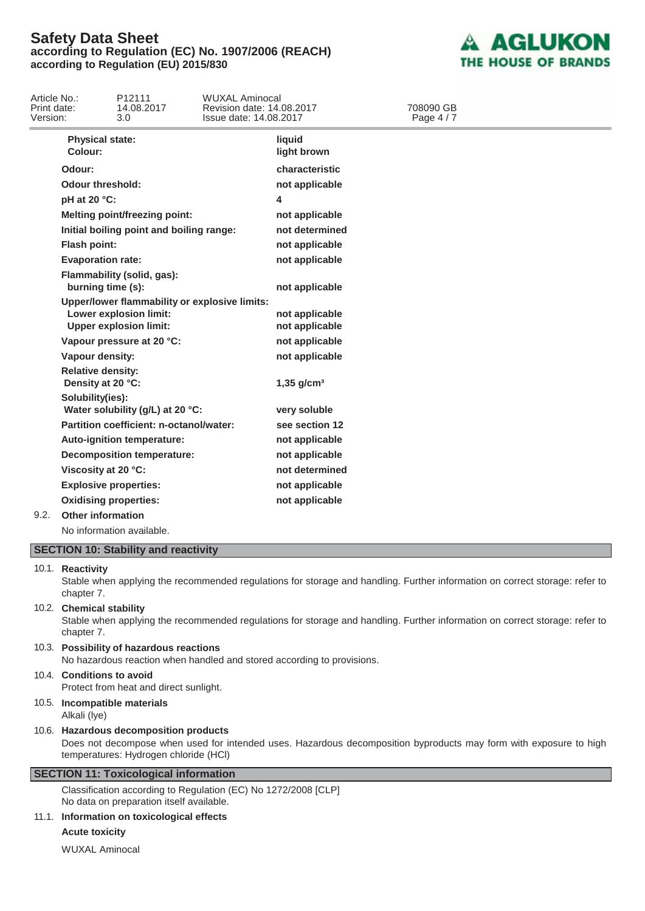

| Article No.:<br>Print date:<br>Version: |                                               | P12111<br>14.08.2017<br>3.0                                                                              | <b>WUXAL Aminocal</b><br>Revision date: 14.08.2017<br>Issue date: 14.08.2017 |                                  | 708090 GB<br>Page 4/7 |  |
|-----------------------------------------|-----------------------------------------------|----------------------------------------------------------------------------------------------------------|------------------------------------------------------------------------------|----------------------------------|-----------------------|--|
|                                         | <b>Physical state:</b><br>Colour:             |                                                                                                          |                                                                              | liquid<br>light brown            |                       |  |
|                                         | Odour:                                        |                                                                                                          |                                                                              | characteristic                   |                       |  |
|                                         | <b>Odour threshold:</b>                       |                                                                                                          |                                                                              | not applicable                   |                       |  |
|                                         | pH at 20 °C:                                  |                                                                                                          |                                                                              | 4                                |                       |  |
|                                         |                                               | <b>Melting point/freezing point:</b>                                                                     |                                                                              | not applicable                   |                       |  |
|                                         |                                               | Initial boiling point and boiling range:                                                                 |                                                                              | not determined                   |                       |  |
|                                         | Flash point:                                  |                                                                                                          |                                                                              | not applicable                   |                       |  |
|                                         | <b>Evaporation rate:</b>                      |                                                                                                          |                                                                              | not applicable                   |                       |  |
|                                         | burning time (s):                             | Flammability (solid, gas):                                                                               |                                                                              | not applicable                   |                       |  |
|                                         |                                               | Upper/lower flammability or explosive limits:<br>Lower explosion limit:<br><b>Upper explosion limit:</b> |                                                                              | not applicable<br>not applicable |                       |  |
|                                         |                                               | Vapour pressure at 20 °C:                                                                                |                                                                              | not applicable                   |                       |  |
|                                         | Vapour density:                               |                                                                                                          |                                                                              | not applicable                   |                       |  |
|                                         | <b>Relative density:</b><br>Density at 20 °C: |                                                                                                          |                                                                              | $1,35$ g/cm <sup>3</sup>         |                       |  |
|                                         | Solubility(ies):                              | Water solubility (g/L) at 20 °C:                                                                         |                                                                              | very soluble                     |                       |  |
|                                         |                                               | Partition coefficient: n-octanol/water:                                                                  |                                                                              | see section 12                   |                       |  |
|                                         |                                               | Auto-ignition temperature:                                                                               |                                                                              | not applicable                   |                       |  |
|                                         |                                               | <b>Decomposition temperature:</b>                                                                        |                                                                              | not applicable                   |                       |  |
|                                         | Viscosity at 20 °C:                           |                                                                                                          |                                                                              | not determined                   |                       |  |
|                                         | <b>Explosive properties:</b>                  |                                                                                                          |                                                                              | not applicable                   |                       |  |
|                                         | <b>Oxidising properties:</b>                  |                                                                                                          |                                                                              | not applicable                   |                       |  |
| 9.2.                                    | Other information                             |                                                                                                          |                                                                              |                                  |                       |  |
|                                         |                                               | No information available.                                                                                |                                                                              |                                  |                       |  |
|                                         |                                               | <b>SECTION 10: Stability and reactivity</b>                                                              |                                                                              |                                  |                       |  |

#### 10.1. **Reactivity**

Stable when applying the recommended regulations for storage and handling. Further information on correct storage: refer to chapter 7.

### 10.2. **Chemical stability**

Stable when applying the recommended regulations for storage and handling. Further information on correct storage: refer to chapter 7.

10.3. **Possibility of hazardous reactions** No hazardous reaction when handled and stored according to provisions.

# 10.4. **Conditions to avoid**

Protect from heat and direct sunlight.

### 10.5. **Incompatible materials** Alkali (lye)

#### 10.6. **Hazardous decomposition products**

Does not decompose when used for intended uses. Hazardous decomposition byproducts may form with exposure to high temperatures: Hydrogen chloride (HCl)

### **SECTION 11: Toxicological information**

 Classification according to Regulation (EC) No 1272/2008 [CLP] No data on preparation itself available.

### 11.1. **Information on toxicological effects**

### **Acute toxicity**

WUXAL Aminocal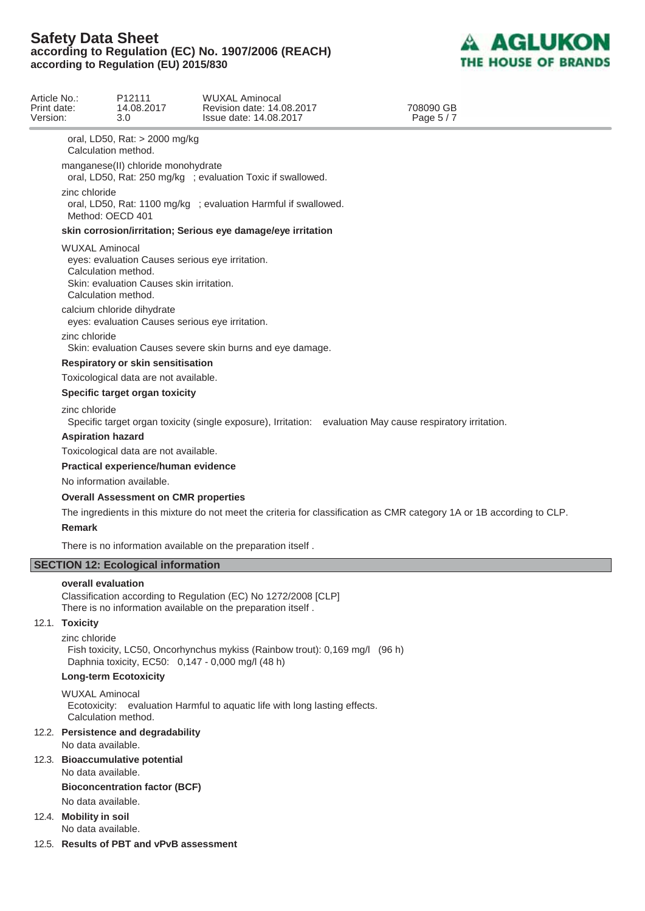

| Article No.:<br>Print date:<br>Version: |                                                                                                     | P <sub>12111</sub><br>14.08.2017<br>3.0                                                     | WUXAL Aminocal<br>Revision date: 14.08.2017<br>Issue date: 14.08.2017                                                            | 708090 GB<br>Page 5/7 |  |  |
|-----------------------------------------|-----------------------------------------------------------------------------------------------------|---------------------------------------------------------------------------------------------|----------------------------------------------------------------------------------------------------------------------------------|-----------------------|--|--|
|                                         |                                                                                                     |                                                                                             |                                                                                                                                  |                       |  |  |
|                                         | Calculation method.                                                                                 | oral, LD50, Rat: > 2000 mg/kg                                                               |                                                                                                                                  |                       |  |  |
|                                         | manganese(II) chloride monohydrate<br>oral, LD50, Rat: 250 mg/kg ; evaluation Toxic if swallowed.   |                                                                                             |                                                                                                                                  |                       |  |  |
|                                         | zinc chloride<br>oral, LD50, Rat: 1100 mg/kg ; evaluation Harmful if swallowed.<br>Method: OECD 401 |                                                                                             |                                                                                                                                  |                       |  |  |
|                                         |                                                                                                     |                                                                                             | skin corrosion/irritation; Serious eye damage/eye irritation                                                                     |                       |  |  |
|                                         | <b>WUXAL Aminocal</b><br>Calculation method.<br>Calculation method.                                 | eyes: evaluation Causes serious eye irritation.<br>Skin: evaluation Causes skin irritation. |                                                                                                                                  |                       |  |  |
|                                         |                                                                                                     | calcium chloride dihydrate<br>eyes: evaluation Causes serious eye irritation.               |                                                                                                                                  |                       |  |  |
|                                         | zinc chloride                                                                                       |                                                                                             | Skin: evaluation Causes severe skin burns and eye damage.                                                                        |                       |  |  |
|                                         |                                                                                                     | Respiratory or skin sensitisation                                                           |                                                                                                                                  |                       |  |  |
|                                         |                                                                                                     | Toxicological data are not available.                                                       |                                                                                                                                  |                       |  |  |
|                                         |                                                                                                     | Specific target organ toxicity                                                              |                                                                                                                                  |                       |  |  |
|                                         | zinc chloride                                                                                       |                                                                                             | Specific target organ toxicity (single exposure), Irritation: evaluation May cause respiratory irritation.                       |                       |  |  |
|                                         | <b>Aspiration hazard</b>                                                                            |                                                                                             |                                                                                                                                  |                       |  |  |
|                                         | Toxicological data are not available.<br>Practical experience/human evidence                        |                                                                                             |                                                                                                                                  |                       |  |  |
|                                         |                                                                                                     | No information available.                                                                   |                                                                                                                                  |                       |  |  |
|                                         |                                                                                                     | <b>Overall Assessment on CMR properties</b>                                                 |                                                                                                                                  |                       |  |  |
|                                         |                                                                                                     |                                                                                             | The ingredients in this mixture do not meet the criteria for classification as CMR category 1A or 1B according to CLP.           |                       |  |  |
|                                         | <b>Remark</b>                                                                                       |                                                                                             |                                                                                                                                  |                       |  |  |
|                                         |                                                                                                     |                                                                                             | There is no information available on the preparation itself.                                                                     |                       |  |  |
|                                         |                                                                                                     | <b>SECTION 12: Ecological information</b>                                                   |                                                                                                                                  |                       |  |  |
|                                         | overall evaluation                                                                                  |                                                                                             |                                                                                                                                  |                       |  |  |
|                                         |                                                                                                     |                                                                                             | Classification according to Regulation (EC) No 1272/2008 [CLP]<br>There is no information available on the preparation itself.   |                       |  |  |
|                                         | 12.1. Toxicity                                                                                      |                                                                                             |                                                                                                                                  |                       |  |  |
|                                         | zinc chloride                                                                                       |                                                                                             | Fish toxicity, LC50, Oncorhynchus mykiss (Rainbow trout): 0,169 mg/l (96 h)<br>Daphnia toxicity, EC50: 0,147 - 0,000 mg/l (48 h) |                       |  |  |
|                                         | <b>Long-term Ecotoxicity</b>                                                                        |                                                                                             |                                                                                                                                  |                       |  |  |
|                                         | <b>WUXAL Aminocal</b><br>Calculation method.                                                        |                                                                                             | Ecotoxicity: evaluation Harmful to aquatic life with long lasting effects.                                                       |                       |  |  |
|                                         | No data available.                                                                                  | 12.2. Persistence and degradability                                                         |                                                                                                                                  |                       |  |  |
|                                         | No data available.                                                                                  | 12.3. Bioaccumulative potential                                                             |                                                                                                                                  |                       |  |  |
|                                         |                                                                                                     | <b>Bioconcentration factor (BCF)</b>                                                        |                                                                                                                                  |                       |  |  |
|                                         | No data available.                                                                                  |                                                                                             |                                                                                                                                  |                       |  |  |
|                                         | 12.4. Mobility in soil<br>No data available.                                                        |                                                                                             |                                                                                                                                  |                       |  |  |
|                                         |                                                                                                     | 12.5. Results of PBT and vPvB assessment                                                    |                                                                                                                                  |                       |  |  |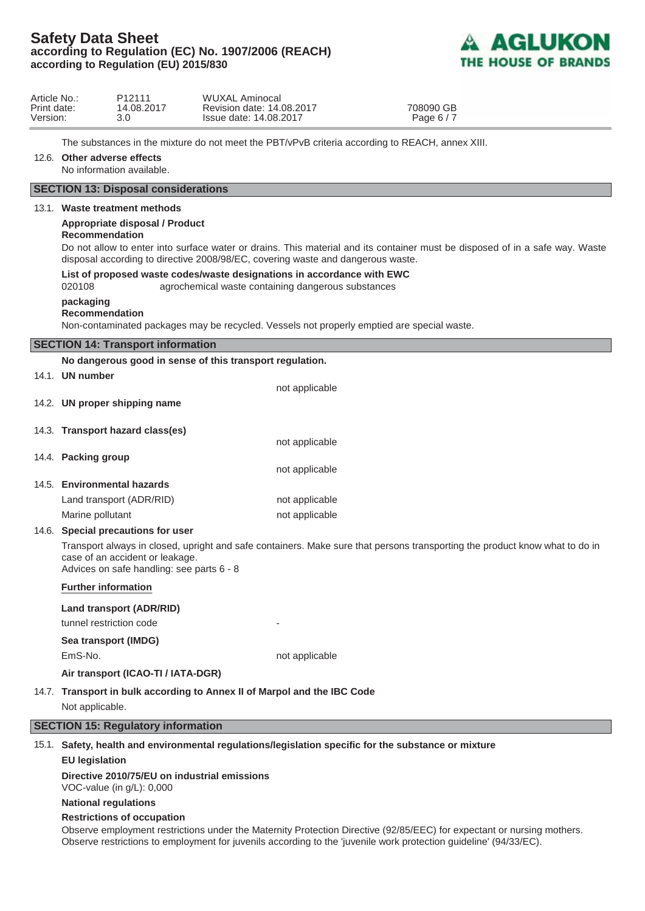

| Article No.:<br>Print date:<br>Version: |                                    | P <sub>12111</sub><br>14.08.2017<br>3.0                                        | WUXAL Aminocal<br>Revision date: 14.08.2017<br>708090 GB<br>Issue date: 14.08.2017<br>Page 6/7                                                                                                                                                                                                                                                  |
|-----------------------------------------|------------------------------------|--------------------------------------------------------------------------------|-------------------------------------------------------------------------------------------------------------------------------------------------------------------------------------------------------------------------------------------------------------------------------------------------------------------------------------------------|
|                                         | 12.6. Other adverse effects        | No information available.                                                      | The substances in the mixture do not meet the PBT/vPvB criteria according to REACH, annex XIII.                                                                                                                                                                                                                                                 |
|                                         |                                    | <b>SECTION 13: Disposal considerations</b>                                     |                                                                                                                                                                                                                                                                                                                                                 |
|                                         | <b>Recommendation</b><br>020108    | 13.1. Waste treatment methods<br>Appropriate disposal / Product                | Do not allow to enter into surface water or drains. This material and its container must be disposed of in a safe way. Waste<br>disposal according to directive 2008/98/EC, covering waste and dangerous waste.<br>List of proposed waste codes/waste designations in accordance with EWC<br>agrochemical waste containing dangerous substances |
|                                         | packaging<br><b>Recommendation</b> |                                                                                | Non-contaminated packages may be recycled. Vessels not properly emptied are special waste.                                                                                                                                                                                                                                                      |
|                                         |                                    | <b>SECTION 14: Transport information</b>                                       |                                                                                                                                                                                                                                                                                                                                                 |
|                                         |                                    |                                                                                | No dangerous good in sense of this transport regulation.                                                                                                                                                                                                                                                                                        |
|                                         | 14.1. UN number                    |                                                                                | not applicable                                                                                                                                                                                                                                                                                                                                  |
|                                         |                                    | 14.2. UN proper shipping name                                                  |                                                                                                                                                                                                                                                                                                                                                 |
|                                         |                                    | 14.3. Transport hazard class(es)                                               |                                                                                                                                                                                                                                                                                                                                                 |
|                                         |                                    |                                                                                | not applicable                                                                                                                                                                                                                                                                                                                                  |
|                                         | 14.4. Packing group                |                                                                                | not applicable                                                                                                                                                                                                                                                                                                                                  |
|                                         |                                    | 14.5. Environmental hazards                                                    |                                                                                                                                                                                                                                                                                                                                                 |
|                                         |                                    | Land transport (ADR/RID)                                                       | not applicable                                                                                                                                                                                                                                                                                                                                  |
|                                         | Marine pollutant                   |                                                                                | not applicable                                                                                                                                                                                                                                                                                                                                  |
|                                         |                                    | 14.6. Special precautions for user                                             |                                                                                                                                                                                                                                                                                                                                                 |
|                                         |                                    | case of an accident or leakage.<br>Advices on safe handling: see parts 6 - 8   | Transport always in closed, upright and safe containers. Make sure that persons transporting the product know what to do in                                                                                                                                                                                                                     |
|                                         | <b>Further information</b>         |                                                                                |                                                                                                                                                                                                                                                                                                                                                 |
|                                         |                                    | Land transport (ADR/RID)                                                       |                                                                                                                                                                                                                                                                                                                                                 |
|                                         | tunnel restriction code            |                                                                                |                                                                                                                                                                                                                                                                                                                                                 |
|                                         | Sea transport (IMDG)               |                                                                                |                                                                                                                                                                                                                                                                                                                                                 |
|                                         | EmS-No.                            |                                                                                | not applicable                                                                                                                                                                                                                                                                                                                                  |
|                                         |                                    | Air transport (ICAO-TI / IATA-DGR)                                             |                                                                                                                                                                                                                                                                                                                                                 |
|                                         | Not applicable.                    |                                                                                | 14.7. Transport in bulk according to Annex II of Marpol and the IBC Code                                                                                                                                                                                                                                                                        |
|                                         |                                    | <b>SECTION 15: Regulatory information</b>                                      |                                                                                                                                                                                                                                                                                                                                                 |
|                                         |                                    |                                                                                | 15.1. Safety, health and environmental regulations/legislation specific for the substance or mixture                                                                                                                                                                                                                                            |
|                                         | <b>EU</b> legislation              |                                                                                |                                                                                                                                                                                                                                                                                                                                                 |
|                                         |                                    | Directive 2010/75/EU on industrial emissions<br>VOC-value (in $g/L$ ): $0,000$ |                                                                                                                                                                                                                                                                                                                                                 |
|                                         | <b>National regulations</b>        |                                                                                |                                                                                                                                                                                                                                                                                                                                                 |
|                                         |                                    | <b>Restrictions of occupation</b>                                              |                                                                                                                                                                                                                                                                                                                                                 |
|                                         |                                    |                                                                                | Observe employment restrictions under the Maternity Protection Directive (92/85/EEC) for expectant or nursing mothers.<br>Observe restrictions to employment for juvenils according to the 'juvenile work protection guideline' (94/33/EC).                                                                                                     |